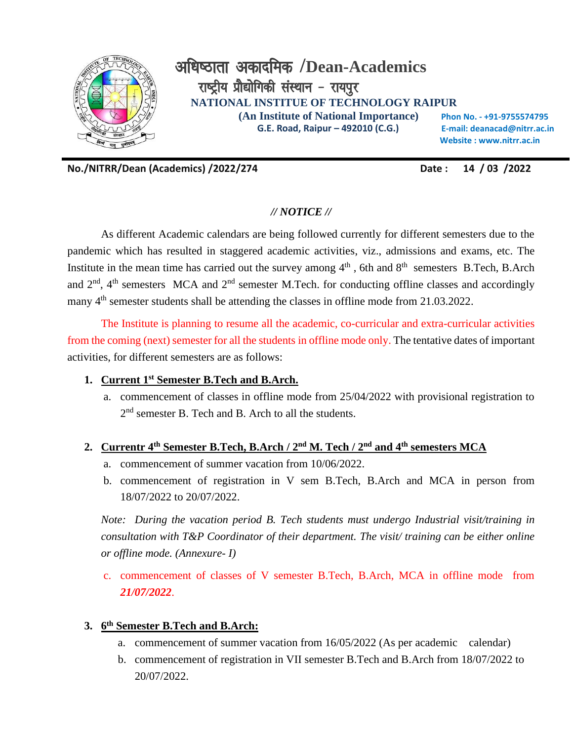

**No./NITRR/Dean (Academics) /2022/274 Date : 14 / 03 /2022**

# *// NOTICE //*

As different Academic calendars are being followed currently for different semesters due to the pandemic which has resulted in staggered academic activities, viz., admissions and exams, etc. The Institute in the mean time has carried out the survey among  $4<sup>th</sup>$ , 6th and  $8<sup>th</sup>$  semesters B.Tech, B.Arch and  $2<sup>nd</sup>$ , 4<sup>th</sup> semesters MCA and  $2<sup>nd</sup>$  semester M.Tech. for conducting offline classes and accordingly many  $4<sup>th</sup>$  semester students shall be attending the classes in offline mode from 21.03.2022.

The Institute is planning to resume all the academic, co-curricular and extra-curricular activities from the coming (next) semester for all the students in offline mode only. The tentative dates of important activities, for different semesters are as follows:

#### **1. Current 1st Semester B.Tech and B.Arch.**

a. commencement of classes in offline mode from 25/04/2022 with provisional registration to 2<sup>nd</sup> semester B. Tech and B. Arch to all the students.

### **2. Currentr 4 th Semester B.Tech, B.Arch / 2 nd M. Tech / 2nd and 4th semesters MCA**

- a. commencement of summer vacation from 10/06/2022.
- b. commencement of registration in V sem B.Tech, B.Arch and MCA in person from 18/07/2022 to 20/07/2022.

*Note: During the vacation period B. Tech students must undergo Industrial visit/training in consultation with T&P Coordinator of their department. The visit/ training can be either online or offline mode. (Annexure- I)*

c. commencement of classes of V semester B.Tech, B.Arch, MCA in offline mode from *21/07/2022*.

## **3. 6 th Semester B.Tech and B.Arch:**

- a. commencement of summer vacation from 16/05/2022 (As per academic calendar)
- b. commencement of registration in VII semester B.Tech and B.Arch from 18/07/2022 to 20/07/2022.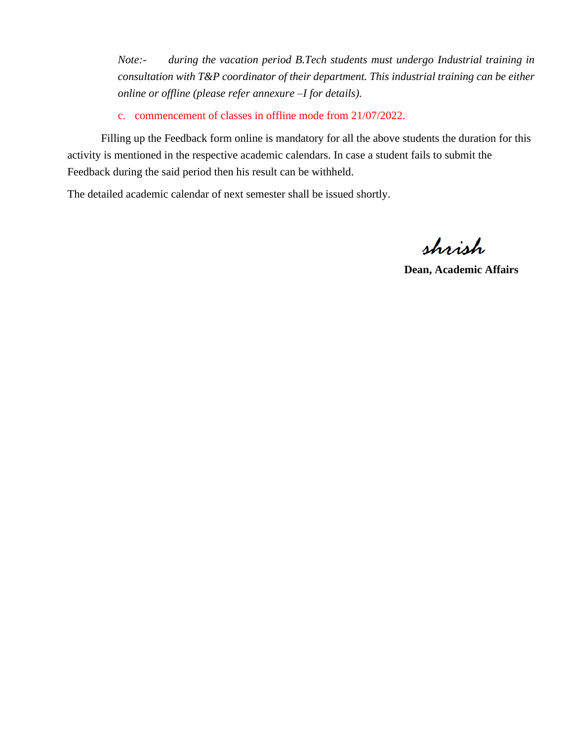*Note:- during the vacation period B.Tech students must undergo Industrial training in consultation with T&P coordinator of their department. This industrial training can be either online or offline (please refer annexure –I for details).*

c. commencement of classes in offline mode from 21/07/2022.

Filling up the Feedback form online is mandatory for all the above students the duration for this activity is mentioned in the respective academic calendars. In case a student fails to submit the Feedback during the said period then his result can be withheld.

The detailed academic calendar of next semester shall be issued shortly.

shrish

**Dean, Academic Affairs**